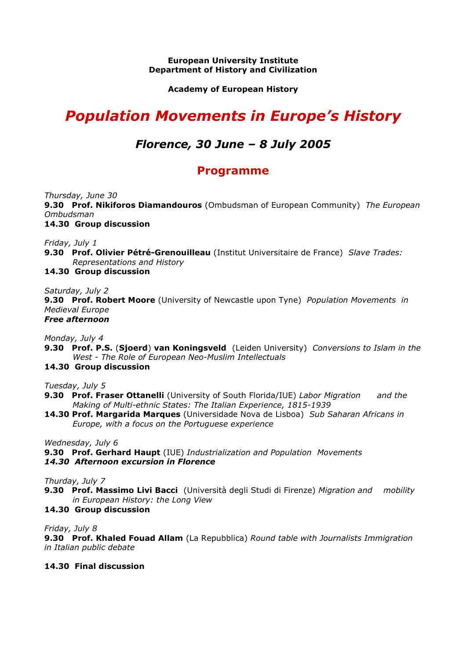### European University Institute Department of History and Civilization

Academy of European History

# Population Movements in Europe's History

# Florence, 30 June – 8 July 2005

### Programme

Thursday, June 30

9.30 Prof. Nikiforos Diamandouros (Ombudsman of European Community) The European Ombudsman

14.30 Group discussion

### Friday, July 1

9.30 Prof. Olivier Pétré-Grenouilleau (Institut Universitaire de France) Slave Trades: Representations and History

### 14.30 Group discussion

### Saturday, July 2

9.30 Prof. Robert Moore (University of Newcastle upon Tyne) Population Movements in Medieval Europe Free afternoon

Monday, July 4

9.30 Prof. P.S. (Sioerd) van Koningsveld (Leiden University) Conversions to Islam in the West - The Role of European Neo-Muslim Intellectuals

### 14.30 Group discussion

Tuesday, July 5

- 9.30 Prof. Fraser Ottanelli (University of South Florida/IUE) Labor Migration and the Making of Multi-ethnic States: The Italian Experience, 1815-1939
- 14.30 Prof. Margarida Marques (Universidade Nova de Lisboa) Sub Saharan Africans in Europe, with a focus on the Portuguese experience

Wednesday, July 6

9.30 Prof. Gerhard Haupt (IUE) Industrialization and Population Movements 14.30 Afternoon excursion in Florence

Thurday, July 7

9.30 Prof. Massimo Livi Bacci (Università degli Studi di Firenze) Migration and mobility in European History: the Long View

### 14.30 Group discussion

Friday, July 8

9.30 Prof. Khaled Fouad Allam (La Repubblica) Round table with Journalists Immigration in Italian public debate

### 14.30 Final discussion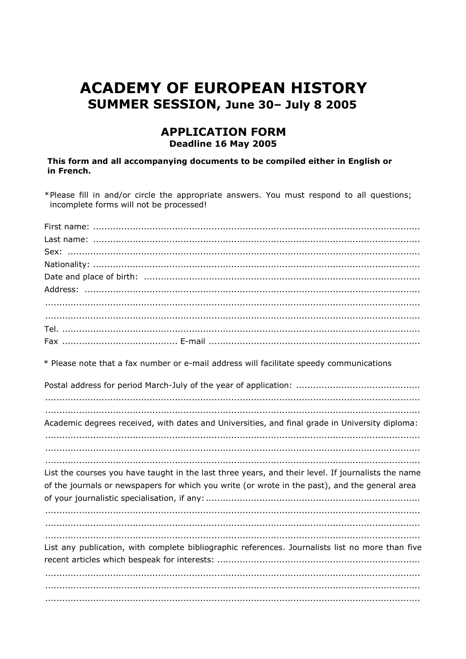# **ACADEMY OF EUROPEAN HISTORY** SUMMER SESSION, June 30- July 8 2005

### **APPLICATION FORM** Deadline 16 May 2005

This form and all accompanying documents to be compiled either in English or in French.

\*Please fill in and/or circle the appropriate answers. You must respond to all questions; incomplete forms will not be processed!

| * Please note that a fax number or e-mail address will facilitate speedy communications                                                                                                              |
|------------------------------------------------------------------------------------------------------------------------------------------------------------------------------------------------------|
|                                                                                                                                                                                                      |
|                                                                                                                                                                                                      |
| Academic degrees received, with dates and Universities, and final grade in University diploma:                                                                                                       |
|                                                                                                                                                                                                      |
| List the courses you have taught in the last three years, and their level. If journalists the name<br>of the journals or newspapers for which you write (or wrote in the past), and the general area |
|                                                                                                                                                                                                      |
| List any publication, with complete bibliographic references. Journalists list no more than five                                                                                                     |
|                                                                                                                                                                                                      |
|                                                                                                                                                                                                      |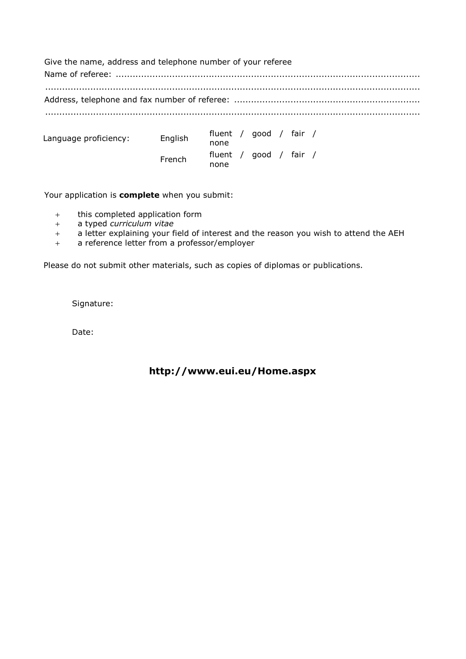Give the name, address and telephone number of your referee

Name of referee: ............................................................................................................ ..................................................................................................................................... Address, telephone and fax number of referee: .................................................................. ..................................................................................................................................... Language proficiency:  $\begin{array}{ccc} \text{English} \\ \text{energy} \end{array}$  fluent / good / fair /

none French fluent / good / fair / none

Your application is **complete** when you submit:

- + this completed application form
- + a typed curriculum vitae
- + a letter explaining your field of interest and the reason you wish to attend the AEH
- + a reference letter from a professor/employer

Please do not submit other materials, such as copies of diplomas or publications.

Signature:

Date:

### http://www.eui.eu/Home.aspx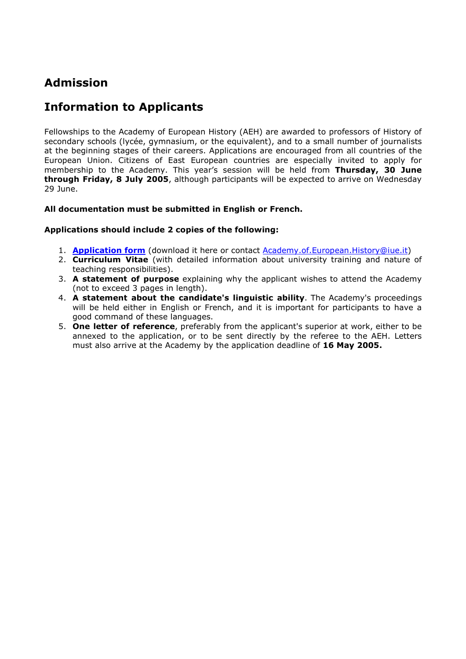# Admission

# Information to Applicants

Fellowships to the Academy of European History (AEH) are awarded to professors of History of secondary schools (lycée, gymnasium, or the equivalent), and to a small number of journalists at the beginning stages of their careers. Applications are encouraged from all countries of the European Union. Citizens of East European countries are especially invited to apply for membership to the Academy. This year's session will be held from Thursday, 30 June through Friday, 8 July 2005, although participants will be expected to arrive on Wednesday 29 June.

### All documentation must be submitted in English or French.

### Applications should include 2 copies of the following:

- 1. **Application form** (download it here or contact Academy.of. European. History@iue.it)
- 2. **Curriculum Vitae** (with detailed information about university training and nature of teaching responsibilities).
- 3. A statement of purpose explaining why the applicant wishes to attend the Academy (not to exceed 3 pages in length).
- 4. A statement about the candidate's linguistic ability. The Academy's proceedings will be held either in English or French, and it is important for participants to have a good command of these languages.
- 5. One letter of reference, preferably from the applicant's superior at work, either to be annexed to the application, or to be sent directly by the referee to the AEH. Letters must also arrive at the Academy by the application deadline of 16 May 2005.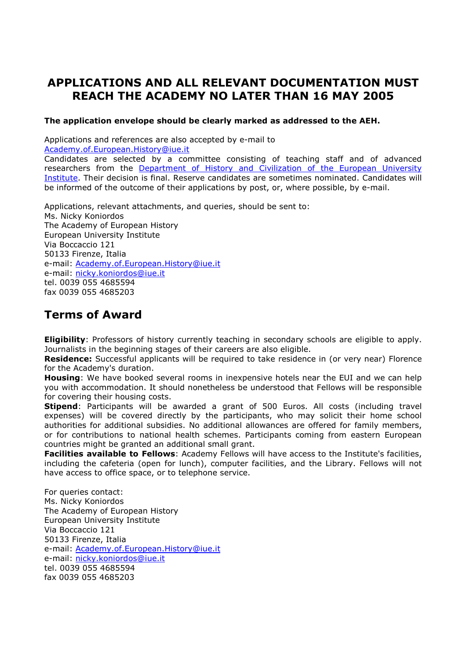## APPLICATIONS AND ALL RELEVANT DOCUMENTATION MUST REACH THE ACADEMY NO LATER THAN 16 MAY 2005

### The application envelope should be clearly marked as addressed to the AEH.

Applications and references are also accepted by e-mail to Academy.of.European.History@iue.it

Candidates are selected by a committee consisting of teaching staff and of advanced researchers from the Department of History and Civilization of the European University Institute. Their decision is final. Reserve candidates are sometimes nominated. Candidates will be informed of the outcome of their applications by post, or, where possible, by e-mail.

Applications, relevant attachments, and queries, should be sent to: Ms. Nicky Koniordos The Academy of European History European University Institute Via Boccaccio 121 50133 Firenze, Italia e-mail: Academy.of.European.History@iue.it e-mail: nicky.koniordos@iue.it tel. 0039 055 4685594 fax 0039 055 4685203

# Terms of Award

Eligibility: Professors of history currently teaching in secondary schools are eligible to apply. Journalists in the beginning stages of their careers are also eligible.

**Residence:** Successful applicants will be required to take residence in (or very near) Florence for the Academy's duration.

**Housing:** We have booked several rooms in inexpensive hotels near the EUI and we can help you with accommodation. It should nonetheless be understood that Fellows will be responsible for covering their housing costs.

Stipend: Participants will be awarded a grant of 500 Euros. All costs (including travel expenses) will be covered directly by the participants, who may solicit their home school authorities for additional subsidies. No additional allowances are offered for family members, or for contributions to national health schemes. Participants coming from eastern European countries might be granted an additional small grant.

Facilities available to Fellows: Academy Fellows will have access to the Institute's facilities, including the cafeteria (open for lunch), computer facilities, and the Library. Fellows will not have access to office space, or to telephone service.

For queries contact: Ms. Nicky Koniordos The Academy of European History European University Institute Via Boccaccio 121 50133 Firenze, Italia e-mail: Academy.of.European.History@iue.it e-mail: nicky.koniordos@iue.it tel. 0039 055 4685594 fax 0039 055 4685203